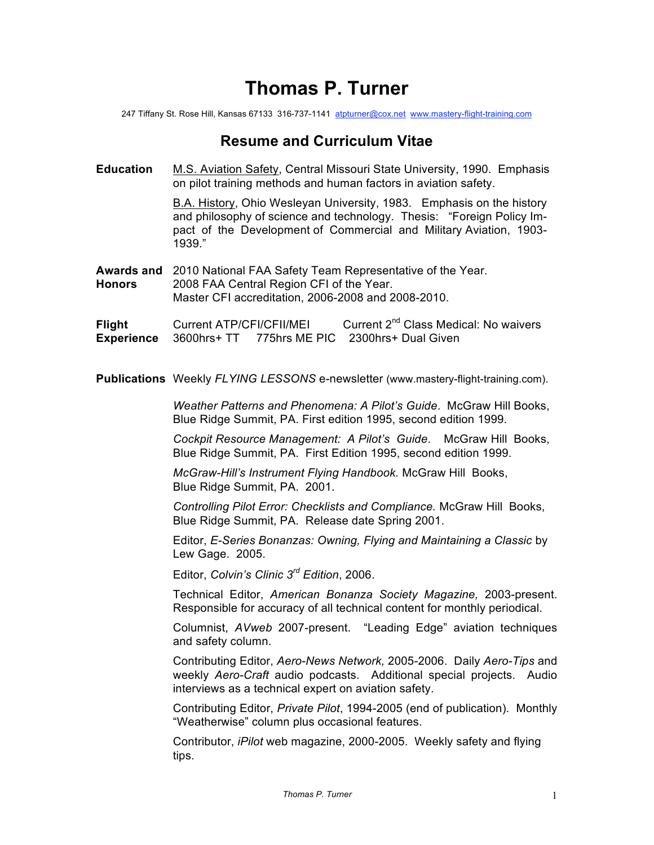## **Thomas P. Turner**

247 Tiffany St. Rose Hill, Kansas 67133 316-737-1141 atpturner@cox.net www.mastery-flight-training.com

## **Resume and Curriculum Vitae**

**Education** M.S. Aviation Safety, Central Missouri State University, 1990. Emphasis on pilot training methods and human factors in aviation safety.

> B.A. History, Ohio Wesleyan University, 1983. Emphasis on the history and philosophy of science and technology. Thesis: "Foreign Policy Impact of the Development of Commercial and Military Aviation, 1903- 1939."

**Awards and** 2010 National FAA Safety Team Representative of the Year. **Honors** 2008 FAA Central Region CFI of the Year.

Master CFI accreditation, 2006-2008 and 2008-2010.

**Flight** Current ATP/CFI/CFII/MEI Current 2<sup>nd</sup> Class Medical: No waivers **Experience** 3600hrs+ TT 775hrs ME PIC 2300hrs+ Dual Given

**Publications** Weekly *FLYING LESSONS* e-newsletter (www.mastery-flight-training.com).

*Weather Patterns and Phenomena: A Pilot's Guide*. McGraw Hill Books, Blue Ridge Summit, PA. First edition 1995, second edition 1999.

*Cockpit Resource Management: A Pilot's Guide*. McGraw Hill Books, Blue Ridge Summit, PA. First Edition 1995, second edition 1999.

*McGraw-Hill's Instrument Flying Handbook.* McGraw Hill Books, Blue Ridge Summit, PA. 2001.

*Controlling Pilot Error: Checklists and Compliance.* McGraw Hill Books, Blue Ridge Summit, PA. Release date Spring 2001.

Editor, *E-Series Bonanzas: Owning, Flying and Maintaining a Classic* by Lew Gage. 2005.

Editor, *Colvin's Clinic 3rd Edition*, 2006.

Technical Editor, *American Bonanza Society Magazine,* 2003-present. Responsible for accuracy of all technical content for monthly periodical.

Columnist, *AVweb* 2007-present. "Leading Edge" aviation techniques and safety column.

Contributing Editor, *Aero-News Network,* 2005-2006.Daily *Aero-Tips* and weekly *Aero-Craft* audio podcasts. Additional special projects. Audio interviews as a technical expert on aviation safety.

Contributing Editor, *Private Pilot*, 1994-2005 (end of publication). Monthly "Weatherwise" column plus occasional features.

Contributor, *iPilot* web magazine, 2000-2005. Weekly safety and flying tips.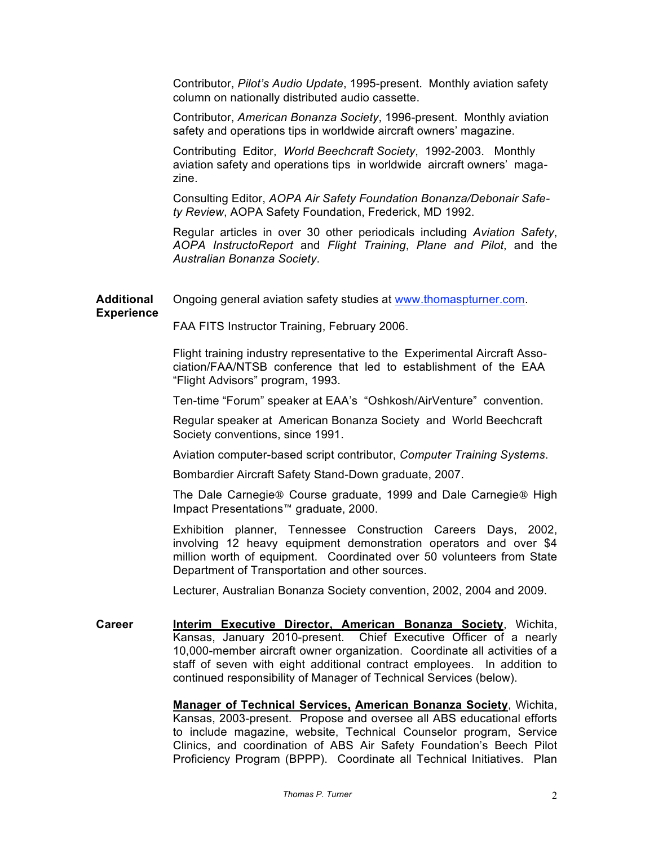Contributor, *Pilot's Audio Update*, 1995-present. Monthly aviation safety column on nationally distributed audio cassette.

Contributor, *American Bonanza Society*, 1996-present. Monthly aviation safety and operations tips in worldwide aircraft owners' magazine.

Contributing Editor, *World Beechcraft Society*, 1992-2003. Monthly aviation safety and operations tips in worldwide aircraft owners' magazine.

Consulting Editor, *AOPA Air Safety Foundation Bonanza/Debonair Safety Review*, AOPA Safety Foundation, Frederick, MD 1992.

Regular articles in over 30 other periodicals including *Aviation Safety*, *AOPA InstructoReport* and *Flight Training*, *Plane and Pilot*, and the *Australian Bonanza Society*.

**Additional** Ongoing general aviation safety studies at www.thomaspturner.com.

FAA FITS Instructor Training, February 2006.

**Experience**

Flight training industry representative to the Experimental Aircraft Association/FAA/NTSB conference that led to establishment of the EAA "Flight Advisors" program, 1993.

Ten-time "Forum" speaker at EAA's "Oshkosh/AirVenture" convention.

Regular speaker at American Bonanza Society and World Beechcraft Society conventions, since 1991.

Aviation computer-based script contributor, *Computer Training Systems*.

Bombardier Aircraft Safety Stand-Down graduate, 2007.

The Dale Carnegie® Course graduate, 1999 and Dale Carnegie® High Impact Presentations™ graduate, 2000.

Exhibition planner, Tennessee Construction Careers Days, 2002, involving 12 heavy equipment demonstration operators and over \$4 million worth of equipment. Coordinated over 50 volunteers from State Department of Transportation and other sources.

Lecturer, Australian Bonanza Society convention, 2002, 2004 and 2009.

**Career Interim Executive Director, American Bonanza Society**, Wichita, Kansas, January 2010-present. Chief Executive Officer of a nearly 10,000-member aircraft owner organization. Coordinate all activities of a staff of seven with eight additional contract employees. In addition to continued responsibility of Manager of Technical Services (below).

> **Manager of Technical Services, American Bonanza Society**, Wichita, Kansas, 2003-present. Propose and oversee all ABS educational efforts to include magazine, website, Technical Counselor program, Service Clinics, and coordination of ABS Air Safety Foundation's Beech Pilot Proficiency Program (BPPP). Coordinate all Technical Initiatives. Plan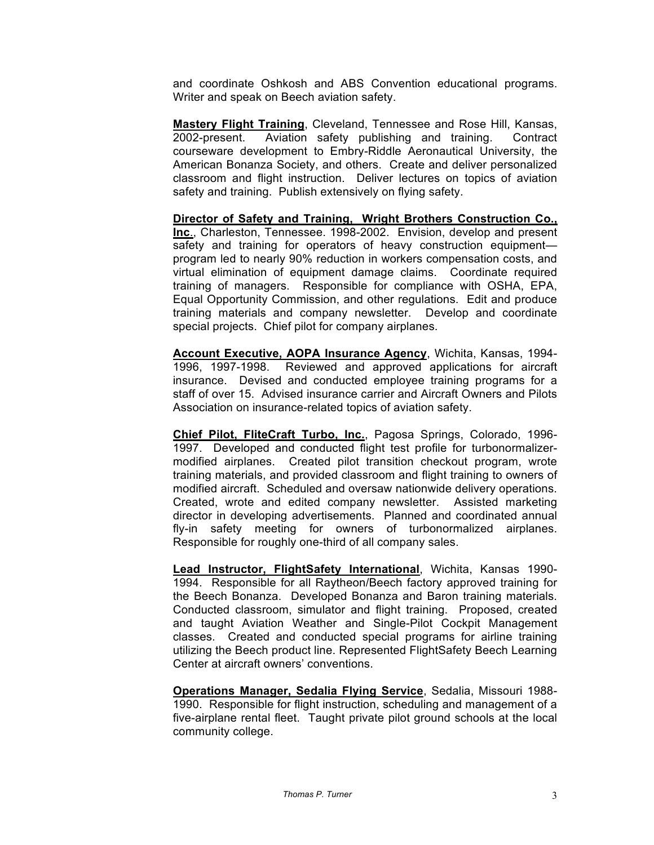and coordinate Oshkosh and ABS Convention educational programs. Writer and speak on Beech aviation safety.

**Mastery Flight Training**, Cleveland, Tennessee and Rose Hill, Kansas, 2002-present. Aviation safety publishing and training. Contract courseware development to Embry-Riddle Aeronautical University, the American Bonanza Society, and others. Create and deliver personalized classroom and flight instruction. Deliver lectures on topics of aviation safety and training. Publish extensively on flying safety.

**Director of Safety and Training, Wright Brothers Construction Co., Inc**., Charleston, Tennessee. 1998-2002. Envision, develop and present safety and training for operators of heavy construction equipment program led to nearly 90% reduction in workers compensation costs, and virtual elimination of equipment damage claims. Coordinate required training of managers. Responsible for compliance with OSHA, EPA, Equal Opportunity Commission, and other regulations. Edit and produce training materials and company newsletter. Develop and coordinate special projects. Chief pilot for company airplanes.

**Account Executive, AOPA Insurance Agency**, Wichita, Kansas, 1994- 1996, 1997-1998. Reviewed and approved applications for aircraft insurance. Devised and conducted employee training programs for a staff of over 15. Advised insurance carrier and Aircraft Owners and Pilots Association on insurance-related topics of aviation safety.

**Chief Pilot, FliteCraft Turbo, Inc.**, Pagosa Springs, Colorado, 1996- 1997. Developed and conducted flight test profile for turbonormalizermodified airplanes. Created pilot transition checkout program, wrote training materials, and provided classroom and flight training to owners of modified aircraft. Scheduled and oversaw nationwide delivery operations. Created, wrote and edited company newsletter. Assisted marketing director in developing advertisements. Planned and coordinated annual fly-in safety meeting for owners of turbonormalized airplanes. Responsible for roughly one-third of all company sales.

**Lead Instructor, FlightSafety International**, Wichita, Kansas 1990- 1994. Responsible for all Raytheon/Beech factory approved training for the Beech Bonanza. Developed Bonanza and Baron training materials. Conducted classroom, simulator and flight training. Proposed, created and taught Aviation Weather and Single-Pilot Cockpit Management classes. Created and conducted special programs for airline training utilizing the Beech product line. Represented FlightSafety Beech Learning Center at aircraft owners' conventions.

**Operations Manager, Sedalia Flying Service**, Sedalia, Missouri 1988- 1990. Responsible for flight instruction, scheduling and management of a five-airplane rental fleet. Taught private pilot ground schools at the local community college.